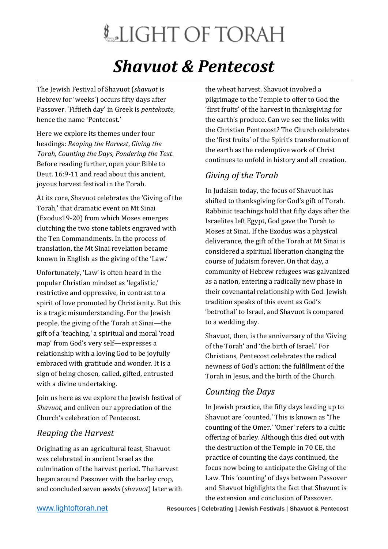# LIGHT OF TORAH

### *Shavuot & Pentecost*

The Jewish Festival of Shavuot (*shavuot* is Hebrew for 'weeks') occurs fifty days after Passover. 'Fiftieth day' in Greek is *pentekoste*, hence the name 'Pentecost.'

Here we explore its themes under four headings: *Reaping the Harvest*, *Giving the Torah, Counting the Days, Pondering the Text*. Before reading further, open your Bible to Deut. 16:9-11 and read about this ancient, joyous harvest festival in the Torah.

At its core, Shavuot celebrates the 'Giving of the Torah,' that dramatic event on Mt Sinai (Exodus19-20) from which Moses emerges clutching the two stone tablets engraved with the Ten Commandments. In the process of translation, the Mt Sinai revelation became known in English as the giving of the 'Law.'

Unfortunately, 'Law' is often heard in the popular Christian mindset as 'legalistic,' restrictive and oppressive, in contrast to a spirit of love promoted by Christianity. But this is a tragic misunderstanding. For the Jewish people, the giving of the Torah at Sinai—the gift of a 'teaching,' a spiritual and moral 'road map' from God's very self—expresses a relationship with a loving God to be joyfully embraced with gratitude and wonder. It is a sign of being chosen, called, gifted, entrusted with a divine undertaking.

Join us here as we explore the Jewish festival of *Shavuot*, and enliven our appreciation of the Church's celebration of Pentecost.

### *Reaping the Harvest*

Originating as an agricultural feast, Shavuot was celebrated in ancient Israel as the culmination of the harvest period. The harvest began around Passover with the barley crop, and concluded seven *weeks* (*shavuot*) later with the wheat harvest. Shavuot involved a pilgrimage to the Temple to offer to God the 'first fruits' of the harvest in thanksgiving for the earth's produce. Can we see the links with the Christian Pentecost? The Church celebrates the 'first fruits' of the Spirit's transformation of the earth as the redemptive work of Christ continues to unfold in history and all creation.

### *Giving of the Torah*

In Judaism today, the focus of Shavuot has shifted to thanksgiving for God's gift of Torah. Rabbinic teachings hold that fifty days after the Israelites left Egypt, God gave the Torah to Moses at Sinai. If the Exodus was a physical deliverance, the gift of the Torah at Mt Sinai is considered a spiritual liberation changing the course of Judaism forever. On that day, a community of Hebrew refugees was galvanized as a nation, entering a radically new phase in their covenantal relationship with God. Jewish tradition speaks of this event as God's 'betrothal' to Israel, and Shavuot is compared to a wedding day.

Shavuot, then, is the anniversary of the 'Giving of the Torah' and 'the birth of Israel.' For Christians, Pentecost celebrates the radical newness of God's action: the fulfillment of the Torah in Jesus, and the birth of the Church.

### *Counting the Days*

In Jewish practice, the fifty days leading up to Shavuot are 'counted.' This is known as 'The counting of the Omer.' 'Omer' refers to a cultic offering of barley. Although this died out with the destruction of the Temple in 70 CE, the practice of counting the days continued, the focus now being to anticipate the Giving of the Law. This 'counting' of days between Passover and Shavuot highlights the fact that Shavuot is the extension and conclusion of Passover.